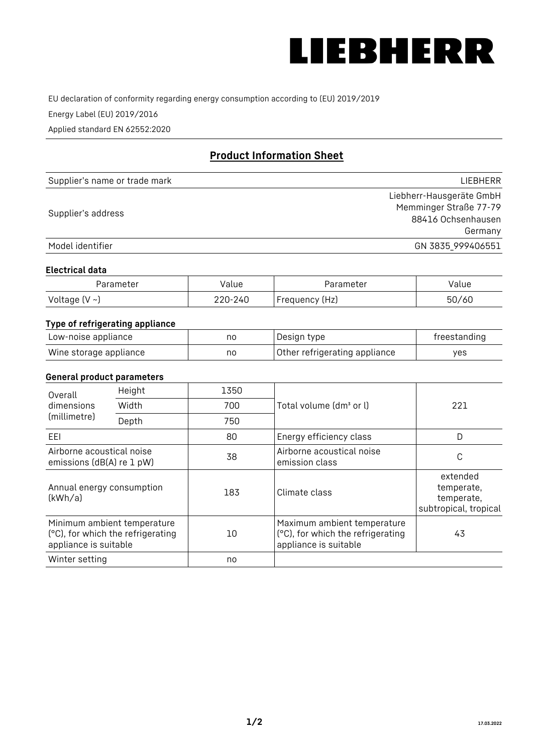

EU declaration of conformity regarding energy consumption according to (EU) 2019/2019

Energy Label (EU) 2019/2016

Applied standard EN 62552:2020

# **Product Information Sheet**

| Supplier's name or trade mark | <b>LIFBHFRR</b>          |
|-------------------------------|--------------------------|
|                               | Liebherr-Hausgeräte GmbH |
| Supplier's address            | Memminger Straße 77-79   |
|                               | 88416 Ochsenhausen       |
|                               | Germany                  |
| Model identifier              | GN 3835_999406551        |

#### **Electrical data**

| Parameter          | Value   | Parameter       | Value |
|--------------------|---------|-----------------|-------|
| Voltage $(V \sim)$ | 220-240 | 'Frequency (Hz) | 50/60 |

# **Type of refrigerating appliance**

| Low-noise appliance    | nc | Design type                   | freestanding |
|------------------------|----|-------------------------------|--------------|
| Wine storage appliance | nc | Other refrigerating appliance | yes          |

### **General product parameters**

| Height<br>Overall                                      |                                                                  | 1350 |                                                                                           |                                                               |
|--------------------------------------------------------|------------------------------------------------------------------|------|-------------------------------------------------------------------------------------------|---------------------------------------------------------------|
| dimensions<br>(millimetre)                             | Width                                                            | 700  | Total volume (dm <sup>3</sup> or l)                                                       | 221                                                           |
|                                                        | Depth                                                            | 750  |                                                                                           |                                                               |
| EEL                                                    |                                                                  | 80   | Energy efficiency class                                                                   | D                                                             |
| Airborne acoustical noise<br>emissions (dB(A) re 1 pW) |                                                                  | 38   | Airborne acoustical noise<br>emission class                                               | С                                                             |
| Annual energy consumption<br>(kWh/a)                   |                                                                  | 183  | Climate class                                                                             | extended<br>temperate,<br>temperate,<br>subtropical, tropical |
| appliance is suitable                                  | Minimum ambient temperature<br>(°C), for which the refrigerating | 10   | Maximum ambient temperature<br>(°C), for which the refrigerating<br>appliance is suitable | 43                                                            |
| Winter setting                                         |                                                                  | no   |                                                                                           |                                                               |